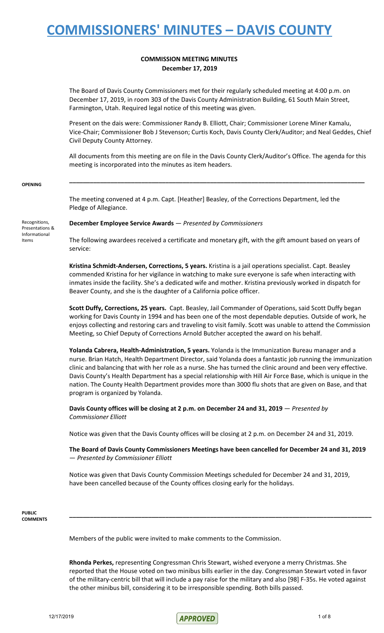#### **COMMISSION MEETING MINUTES December 17, 2019**

The Board of Davis County Commissioners met for their regularly scheduled meeting at 4:00 p.m. on December 17, 2019, in room 303 of the Davis County Administration Building, 61 South Main Street, Farmington, Utah. Required legal notice of this meeting was given.

Present on the dais were: Commissioner Randy B. Elliott, Chair; Commissioner Lorene Miner Kamalu, Vice-Chair; Commissioner Bob J Stevenson; Curtis Koch, Davis County Clerk/Auditor; and Neal Geddes, Chief Civil Deputy County Attorney.

All documents from this meeting are on file in the Davis County Clerk/Auditor's Office. The agenda for this meeting is incorporated into the minutes as item headers.

**\_\_\_\_\_\_\_\_\_\_\_\_\_\_\_\_\_\_\_\_\_\_\_\_\_\_\_\_\_\_\_\_\_\_\_\_\_\_\_\_\_\_\_\_\_\_\_\_\_\_\_\_\_\_\_\_\_\_\_\_\_\_\_\_\_\_\_\_\_\_\_\_\_\_\_\_\_\_\_\_\_\_\_\_\_\_**

#### **OPENING**

The meeting convened at 4 p.m. Capt. [Heather] Beasley, of the Corrections Department, led the Pledge of Allegiance.

Recognitions, Presentations & Informational Items

**December Employee Service Awards** — *Presented by Commissioners*

The following awardees received a certificate and monetary gift, with the gift amount based on years of service:

**Kristina Schmidt-Andersen, Corrections, 5 years.** Kristina is a jail operations specialist. Capt. Beasley commended Kristina for her vigilance in watching to make sure everyone is safe when interacting with inmates inside the facility. She's a dedicated wife and mother. Kristina previously worked in dispatch for Beaver County, and she is the daughter of a California police officer.

**Scott Duffy, Corrections, 25 years.** Capt. Beasley, Jail Commander of Operations, said Scott Duffy began working for Davis County in 1994 and has been one of the most dependable deputies. Outside of work, he enjoys collecting and restoring cars and traveling to visit family. Scott was unable to attend the Commission Meeting, so Chief Deputy of Corrections Arnold Butcher accepted the award on his behalf.

**Yolanda Cabrera, Health-Administration, 5 years.** Yolanda is the Immunization Bureau manager and a nurse. Brian Hatch, Health Department Director, said Yolanda does a fantastic job running the immunization clinic and balancing that with her role as a nurse. She has turned the clinic around and been very effective. Davis County's Health Department has a special relationship with Hill Air Force Base, which is unique in the nation. The County Health Department provides more than 3000 flu shots that are given on Base, and that program is organized by Yolanda.

**Davis County offices will be closing at 2 p.m. on December 24 and 31, 2019** — *Presented by Commissioner Elliott*

Notice was given that the Davis County offices will be closing at 2 p.m. on December 24 and 31, 2019.

**The Board of Davis County Commissioners Meetings have been cancelled for December 24 and 31, 2019** — *Presented by Commissioner Elliott*

Notice was given that Davis County Commission Meetings scheduled for December 24 and 31, 2019, have been cancelled because of the County offices closing early for the holidays.

**PUBLIC COMMENTS**

Members of the public were invited to make comments to the Commission.

**Rhonda Perkes,** representing Congressman Chris Stewart, wished everyone a merry Christmas. She reported that the House voted on two minibus bills earlier in the day. Congressman Stewart voted in favor of the military-centric bill that will include a pay raise for the military and also [98] F-35s. He voted against the other minibus bill, considering it to be irresponsible spending. Both bills passed.

**\_\_\_\_\_\_\_\_\_\_\_\_\_\_\_\_\_\_\_\_\_\_\_\_\_\_\_\_\_\_\_\_\_\_\_\_\_\_\_\_\_\_\_\_\_\_\_\_\_\_\_\_\_\_\_\_\_\_\_\_\_\_\_\_\_\_\_\_\_\_\_\_\_\_\_\_\_\_\_\_\_\_\_\_\_\_\_\_**

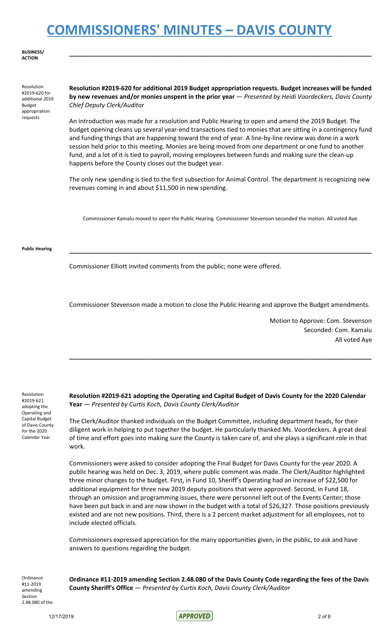**BUSINESS/ ACTION**

Resolution #2019-620 for additional 2019 Budget appropriation requests

**Resolution #2019-620 for additional 2019 Budget appropriation requests. Budget increases will be funded by new revenues and/or monies unspent in the prior year** — *Presented by Heidi Voordeckers, Davis County Chief Deputy Clerk/Auditor*

**\_\_\_\_\_\_\_\_\_\_\_\_\_\_\_\_\_\_\_\_\_\_\_\_\_\_\_\_\_\_\_\_\_\_\_\_\_\_\_\_\_\_\_\_\_\_\_\_\_\_\_\_\_\_\_\_\_\_\_\_\_\_\_\_\_\_\_\_\_\_\_\_\_\_\_\_\_\_\_\_\_\_\_\_\_\_\_\_**

An introduction was made for a resolution and Public Hearing to open and amend the 2019 Budget. The budget opening cleans up several year-end transactions tied to monies that are sitting in a contingency fund and funding things that are happening toward the end of year. A line-by-line review was done in a work session held prior to this meeting. Monies are being moved from one department or one fund to another fund, and a lot of it is tied to payroll, moving employees between funds and making sure the clean-up happens before the County closes out the budget year.

The only new spending is tied to the first subsection for Animal Control. The department is recognizing new revenues coming in and about \$11,500 in new spending.

Commissioner Kamalu moved to open the Public Hearing. Commissioner Stevenson seconded the motion. All voted Aye.

#### **Public Hearing \_\_\_\_\_\_\_\_\_\_\_\_\_\_\_\_\_\_\_\_\_\_\_\_\_\_\_\_\_\_\_\_\_\_\_\_\_\_\_\_\_\_\_\_\_\_\_\_\_\_\_\_\_\_\_\_\_\_\_\_\_\_\_\_\_\_\_\_\_\_\_\_\_\_\_\_\_\_\_\_\_\_\_\_\_\_\_\_**

Commissioner Elliott invited comments from the public; none were offered.

Commissioner Stevenson made a motion to close the Public Hearing and approve the Budget amendments.

Motion to Approve: Com. Stevenson Seconded: Com. Kamalu All voted Aye

Resolution #2019-621 adopting the Operating and Capital Budget of Davis County for the 2020 Calendar Year

**Resolution #2019-621 adopting the Operating and Capital Budget of Davis County for the 2020 Calendar Year** — *Presented by Curtis Koch, Davis County Clerk/Auditor*

**\_\_\_\_\_\_\_\_\_\_\_\_\_\_\_\_\_\_\_\_\_\_\_\_\_\_\_\_\_\_\_\_\_\_\_\_\_\_\_\_\_\_\_\_\_\_\_\_\_\_\_\_\_\_\_\_\_\_\_\_\_\_\_\_\_\_\_\_\_\_\_\_\_\_\_\_\_\_\_\_\_\_\_\_\_\_\_\_**

The Clerk/Auditor thanked individuals on the Budget Committee, including department heads, for their diligent work in helping to put together the budget. He particularly thanked Ms. Voordeckers. A great deal of time and effort goes into making sure the County is taken care of, and she plays a significant role in that work.

Commissioners were asked to consider adopting the Final Budget for Davis County for the year 2020. A public hearing was held on Dec. 3, 2019, where public comment was made. The Clerk/Auditor highlighted three minor changes to the budget. First, in Fund 10, Sheriff's Operating had an increase of \$22,500 for additional equipment for three new 2019 deputy positions that were approved. Second, in Fund 18, through an omission and programming issues, there were personnel left out of the Events Center; those have been put back in and are now shown in the budget with a total of \$26,327. Those positions previously existed and are not new positions. Third, there is a 2 percent market adjustment for all employees, not to include elected officials.

Commissioners expressed appreciation for the many opportunities given, in the public, to ask and have answers to questions regarding the budget.

**Ordinance** #11-2019 amending Section 2.48.080 of the

**Ordinance #11-2019 amending Section 2.48.080 of the Davis County Code regarding the fees of the Davis County Sheriff's Office** — *Presented by Curtis Koch, Davis County Clerk/Auditor*

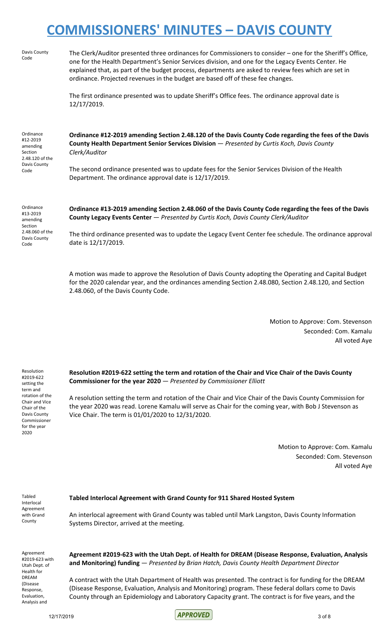| Ordinance<br>#13-2019<br>amending<br><b>Coction</b>             | Ordinance #13-2019 amending Section 2.48.060 of the Davis County Code regarding the fees of the Davis<br>County Legacy Events Center - Presented by Curtis Koch, Davis County Clerk/Auditor                                                                                                                                                                                                                 |
|-----------------------------------------------------------------|-------------------------------------------------------------------------------------------------------------------------------------------------------------------------------------------------------------------------------------------------------------------------------------------------------------------------------------------------------------------------------------------------------------|
| Davis County<br>Code                                            | The second ordinance presented was to update fees for the Senior Services Division of the Health<br>Department. The ordinance approval date is 12/17/2019.                                                                                                                                                                                                                                                  |
| Ordinance<br>#12-2019<br>amending<br>Section<br>2.48.120 of the | Ordinance #12-2019 amending Section 2.48.120 of the Davis County Code regarding the fees of the Davis<br>County Health Department Senior Services Division - Presented by Curtis Koch, Davis County<br>Clerk/Auditor                                                                                                                                                                                        |
|                                                                 | The first ordinance presented was to update Sheriff's Office fees. The ordinance approval date is<br>12/17/2019.                                                                                                                                                                                                                                                                                            |
| Davis County<br>Code                                            | The Clerk/Auditor presented three ordinances for Commissioners to consider – one for the Sheriff's Office,<br>one for the Health Department's Senior Services division, and one for the Legacy Events Center. He<br>explained that, as part of the budget process, departments are asked to review fees which are set in<br>ordinance. Projected revenues in the budget are based off of these fee changes. |
|                                                                 |                                                                                                                                                                                                                                                                                                                                                                                                             |

The third ordinance presented was to update the Legacy Event Center fee schedule. The ordinance approval date is 12/17/2019.

A motion was made to approve the Resolution of Davis County adopting the Operating and Capital Budget for the 2020 calendar year, and the ordinances amending Section 2.48.080, Section 2.48.120, and Section 2.48.060, of the Davis County Code.

> Motion to Approve: Com. Stevenson Seconded: Com. Kamalu All voted Aye

**Resolution #2019-622 setting the term and rotation of the Chair and Vice Chair of the Davis County Commissioner for the year 2020** — *Presented by Commissioner Elliott*

A resolution setting the term and rotation of the Chair and Vice Chair of the Davis County Commission for the year 2020 was read. Lorene Kamalu will serve as Chair for the coming year, with Bob J Stevenson as Vice Chair. The term is 01/01/2020 to 12/31/2020.

> Motion to Approve: Com. Kamalu Seconded: Com. Stevenson All voted Aye

Tabled Interlocal Agreement with Grand

Resolution #2019-622 setting the term and rotation of the Chair and Vice Chair of the Davis County Commissioner for the year 2020

Ordinan #13-2019 amending Section 2.48.060 of the Davis County Code

#### **Tabled Interlocal Agreement with Grand County for 911 Shared Hosted System**

County

An interlocal agreement with Grand County was tabled until Mark Langston, Davis County Information Systems Director, arrived at the meeting.

Agreement #2019-623 with Utah Dept. of Health for DREAM (Disease Response, Evaluation, Analysis and

**Agreement #2019-623 with the Utah Dept. of Health for DREAM (Disease Response, Evaluation, Analysis and Monitoring) funding** — *Presented by Brian Hatch, Davis County Health Department Director*

A contract with the Utah Department of Health was presented. The contract is for funding for the DREAM (Disease Response, Evaluation, Analysis and Monitoring) program. These federal dollars come to Davis County through an Epidemiology and Laboratory Capacity grant. The contract is for five years, and the

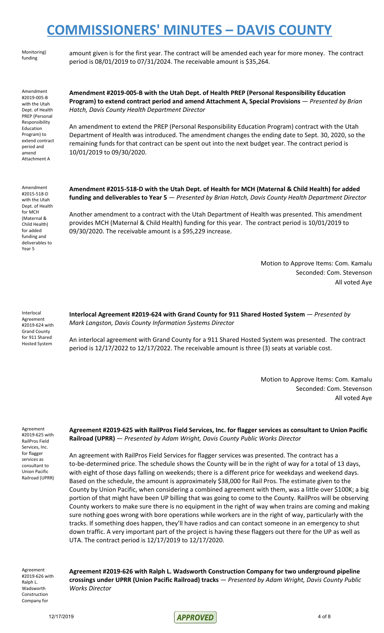Monitoring) funding

amount given is for the first year. The contract will be amended each year for more money. The contract period is 08/01/2019 to 07/31/2024. The receivable amount is \$35,264.

Amendment #2019-005-B with the Utah Dept. of Health PREP (Personal Responsibility Education Program) to extend contract period and amend Attachment A

**Amendment #2019-005-B with the Utah Dept. of Health PREP (Personal Responsibility Education Program) to extend contract period and amend Attachment A, Special Provisions** — *Presented by Brian Hatch, Davis County Health Department Director*

An amendment to extend the PREP (Personal Responsibility Education Program) contract with the Utah Department of Health was introduced. The amendment changes the ending date to Sept. 30, 2020, so the remaining funds for that contract can be spent out into the next budget year. The contract period is 10/01/2019 to 09/30/2020.

Amendment #2015-518-D with the Utah Dept. of Health for MCH (Maternal & Child Health) for added funding and deliverables to Year 5

**Amendment #2015-518-D with the Utah Dept. of Health for MCH (Maternal & Child Health) for added funding and deliverables to Year 5** — *Presented by Brian Hatch, Davis County Health Department Director*

Another amendment to a contract with the Utah Department of Health was presented. This amendment provides MCH (Maternal & Child Health) funding for this year. The contract period is 10/01/2019 to 09/30/2020. The receivable amount is a \$95,229 increase.

> Motion to Approve Items: Com. Kamalu Seconded: Com. Stevenson All voted Aye

Interlocal Agreement #2019-624 with Grand County for 911 Shared Hosted System

**Interlocal Agreement #2019-624 with Grand County for 911 Shared Hosted System** — *Presented by Mark Langston, Davis County Information Systems Director*

An interlocal agreement with Grand County for a 911 Shared Hosted System was presented. The contract period is 12/17/2022 to 12/17/2022. The receivable amount is three (3) seats at variable cost.

> Motion to Approve Items: Com. Kamalu Seconded: Com. Stevenson All voted Aye

Agreement #2019-625 with RailPros Field Services, Inc. for flagger services as consultant to Union Pacific Railroad (UPRR)

**Agreement #2019-625 with RailPros Field Services, Inc. for flagger services as consultant to Union Pacific Railroad (UPRR)** — *Presented by Adam Wright, Davis County Public Works Director*

An agreement with RailPros Field Services for flagger services was presented. The contract has a to-be-determined price. The schedule shows the County will be in the right of way for a total of 13 days, with eight of those days falling on weekends; there is a different price for weekdays and weekend days. Based on the schedule, the amount is approximately \$38,000 for Rail Pros. The estimate given to the County by Union Pacific, when considering a combined agreement with them, was a little over \$100K; a big portion of that might have been UP billing that was going to come to the County. RailPros will be observing County workers to make sure there is no equipment in the right of way when trains are coming and making sure nothing goes wrong with bore operations while workers are in the right of way, particularly with the tracks. If something does happen, they'll have radios and can contact someone in an emergency to shut down traffic. A very important part of the project is having these flaggers out there for the UP as well as UTA. The contract period is 12/17/2019 to 12/17/2020.

Agreement #2019-626 with Ralph L. Wadsworth Construction Company for

**Agreement #2019-626 with Ralph L. Wadsworth Construction Company for two underground pipeline crossings under UPRR (Union Pacific Railroad) tracks** — *Presented by Adam Wright, Davis County Public Works Director*

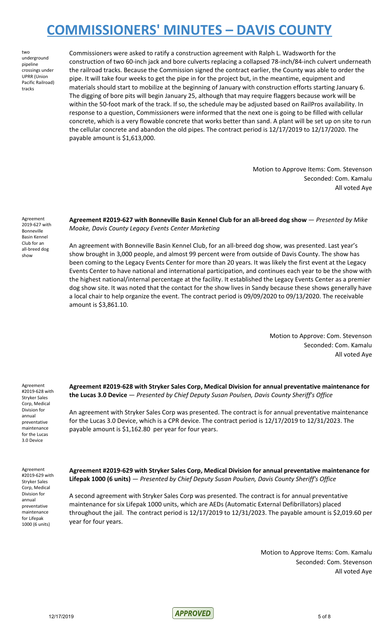two underground pipeline crossings under UPRR (Union Pacific Railroad) tracks

Commissioners were asked to ratify a construction agreement with Ralph L. Wadsworth for the construction of two 60-inch jack and bore culverts replacing a collapsed 78-inch/84-inch culvert underneath the railroad tracks. Because the Commission signed the contract earlier, the County was able to order the pipe. It will take four weeks to get the pipe in for the project but, in the meantime, equipment and materials should start to mobilize at the beginning of January with construction efforts starting January 6. The digging of bore pits will begin January 25, although that may require flaggers because work will be within the 50-foot mark of the track. If so, the schedule may be adjusted based on RailPros availability. In response to a question, Commissioners were informed that the next one is going to be filled with cellular concrete, which is a very flowable concrete that works better than sand. A plant will be set up on site to run the cellular concrete and abandon the old pipes. The contract period is 12/17/2019 to 12/17/2020. The payable amount is \$1,613,000.

> Motion to Approve Items: Com. Stevenson Seconded: Com. Kamalu All voted Aye

Agreement 2019-627 with Bonneville Basin Kennel Club for an all-breed dog show

**Agreement #2019-627 with Bonneville Basin Kennel Club for an all-breed dog show** — *Presented by Mike Moake, Davis County Legacy Events Center Marketing*

An agreement with Bonneville Basin Kennel Club, for an all-breed dog show, was presented. Last year's show brought in 3,000 people, and almost 99 percent were from outside of Davis County. The show has been coming to the Legacy Events Center for more than 20 years. It was likely the first event at the Legacy Events Center to have national and international participation, and continues each year to be the show with the highest national/internal percentage at the facility. It established the Legacy Events Center as a premier dog show site. It was noted that the contact for the show lives in Sandy because these shows generally have a local chair to help organize the event. The contract period is 09/09/2020 to 09/13/2020. The receivable amount is \$3,861.10.

> Motion to Approve: Com. Stevenson Seconded: Com. Kamalu All voted Aye

Agreement #2019-628 with Stryker Sales Corp, Medical Division for annual preventative maintenance for the Lucas 3.0 Device

**Agreement #2019-628 with Stryker Sales Corp, Medical Division for annual preventative maintenance for the Lucas 3.0 Device** — *Presented by Chief Deputy Susan Poulsen, Davis County Sheriff's Office*

An agreement with Stryker Sales Corp was presented. The contract is for annual preventative maintenance for the Lucas 3.0 Device, which is a CPR device. The contract period is 12/17/2019 to 12/31/2023. The payable amount is \$1,162.80 per year for four years.

Agreement #2019-629 with Stryker Sales Corp, Medical Division for annual preventative maintenance for Lifepak 1000 (6 units)

**Agreement #2019-629 with Stryker Sales Corp, Medical Division for annual preventative maintenance for Lifepak 1000 (6 units)** — *Presented by Chief Deputy Susan Poulsen, Davis County Sheriff's Office*

A second agreement with Stryker Sales Corp was presented. The contract is for annual preventative maintenance for six Lifepak 1000 units, which are AEDs (Automatic External Defibrillators) placed throughout the jail. The contract period is 12/17/2019 to 12/31/2023. The payable amount is \$2,019.60 per year for four years.

> Motion to Approve Items: Com. Kamalu Seconded: Com. Stevenson All voted Aye

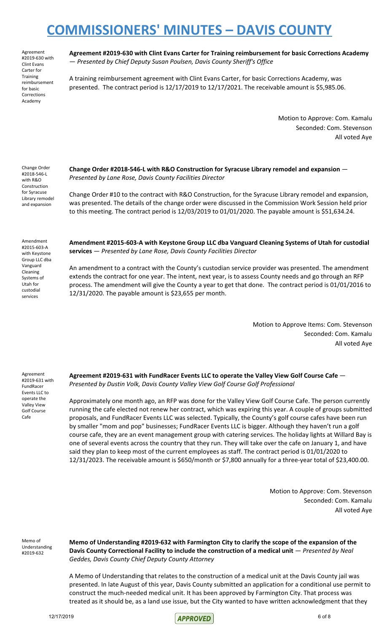Agreement #2019-630 with Clint Evans Carter for **Training** reimbursement for basic Corrections Academy

**Agreement #2019-630 with Clint Evans Carter for Training reimbursement for basic Corrections Academy** — *Presented by Chief Deputy Susan Poulsen, Davis County Sheriff's Office*

A training reimbursement agreement with Clint Evans Carter, for basic Corrections Academy, was presented. The contract period is 12/17/2019 to 12/17/2021. The receivable amount is \$5,985.06.

> Motion to Approve: Com. Kamalu Seconded: Com. Stevenson All voted Aye

Change Order #2018-546-L with R&O Construction for Syracuse Library remodel and expansion

**Change Order #2018-546-L with R&O Construction for Syracuse Library remodel and expansion** — *Presented by Lane Rose, Davis County Facilities Director*

Change Order #10 to the contract with R&O Construction, for the Syracuse Library remodel and expansion, was presented. The details of the change order were discussed in the Commission Work Session held prior to this meeting. The contract period is 12/03/2019 to 01/01/2020. The payable amount is \$51,634.24.

Amendment #2015-603-A with Keystone Group LLC dba Vanguard Cleaning Systems of Utah for custodial services

**Amendment #2015-603-A with Keystone Group LLC dba Vanguard Cleaning Systems of Utah for custodial services** — *Presented by Lane Rose, Davis County Facilities Director*

An amendment to a contract with the County's custodian service provider was presented. The amendment extends the contract for one year. The intent, next year, is to assess County needs and go through an RFP process. The amendment will give the County a year to get that done. The contract period is 01/01/2016 to 12/31/2020. The payable amount is \$23,655 per month.

> Motion to Approve Items: Com. Stevenson Seconded: Com. Kamalu All voted Aye

Agreement #2019-631 with FundRacer Events LLC to operate the Valley View Golf Course Cafe

**Agreement #2019-631 with FundRacer Events LLC to operate the Valley View Golf Course Cafe** — *Presented by Dustin Volk, Davis County Valley View Golf Course Golf Professional*

Approximately one month ago, an RFP was done for the Valley View Golf Course Cafe. The person currently running the cafe elected not renew her contract, which was expiring this year. A couple of groups submitted proposals, and FundRacer Events LLC was selected. Typically, the County's golf course cafes have been run by smaller "mom and pop" businesses; FundRacer Events LLC is bigger. Although they haven't run a golf course cafe, they are an event management group with catering services. The holiday lights at Willard Bay is one of several events across the country that they run. They will take over the cafe on January 1, and have said they plan to keep most of the current employees as staff. The contract period is 01/01/2020 to 12/31/2023. The receivable amount is \$650/month or \$7,800 annually for a three-year total of \$23,400.00.

> Motion to Approve: Com. Stevenson Seconded: Com. Kamalu All voted Aye

Memo of Understanding #2019-632

**Memo of Understanding #2019-632 with Farmington City to clarify the scope of the expansion of the Davis County Correctional Facility to include the construction of a medical unit** — *Presented by Neal Geddes, Davis County Chief Deputy County Attorney*

A Memo of Understanding that relates to the construction of a medical unit at the Davis County jail was presented. In late August of this year, Davis County submitted an application for a conditional use permit to construct the much-needed medical unit. It has been approved by Farmington City. That process was treated as it should be, as a land use issue, but the City wanted to have written acknowledgment that they

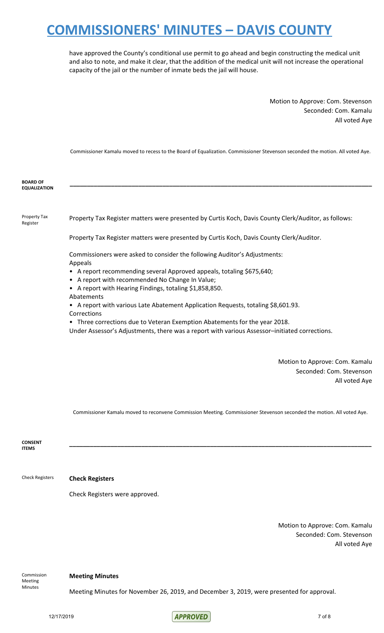have approved the County's conditional use permit to go ahead and begin constructing the medical unit and also to note, and make it clear, that the addition of the medical unit will not increase the operational capacity of the jail or the number of inmate beds the jail will house.

> Motion to Approve: Com. Stevenson Seconded: Com. Kamalu All voted Aye

Commissioner Kamalu moved to recess to the Board of Equalization. Commissioner Stevenson seconded the motion. All voted Aye.

**\_\_\_\_\_\_\_\_\_\_\_\_\_\_\_\_\_\_\_\_\_\_\_\_\_\_\_\_\_\_\_\_\_\_\_\_\_\_\_\_\_\_\_\_\_\_\_\_\_\_\_\_\_\_\_\_\_\_\_\_\_\_\_\_\_\_\_\_\_\_\_\_\_\_\_\_\_\_\_\_\_\_\_\_\_\_\_\_**

**BOARD OF EQUALIZATION**

Property Tax Register

Property Tax Register matters were presented by Curtis Koch, Davis County Clerk/Auditor, as follows:

Property Tax Register matters were presented by Curtis Koch, Davis County Clerk/Auditor.

Commissioners were asked to consider the following Auditor's Adjustments: Appeals

- A report recommending several Approved appeals, totaling \$675,640;
- A report with recommended No Change In Value;
- A report with Hearing Findings, totaling \$1,858,850.
- Abatements
- A report with various Late Abatement Application Requests, totaling \$8,601.93. Corrections
- Three corrections due to Veteran Exemption Abatements for the year 2018.

Under Assessor's Adjustments, there was a report with various Assessor–initiated corrections.

Motion to Approve: Com. Kamalu Seconded: Com. Stevenson All voted Aye

Commissioner Kamalu moved to reconvene Commission Meeting. Commissioner Stevenson seconded the motion. All voted Aye.

**\_\_\_\_\_\_\_\_\_\_\_\_\_\_\_\_\_\_\_\_\_\_\_\_\_\_\_\_\_\_\_\_\_\_\_\_\_\_\_\_\_\_\_\_\_\_\_\_\_\_\_\_\_\_\_\_\_\_\_\_\_\_\_\_\_\_\_\_\_\_\_\_\_\_\_\_\_\_\_\_\_\_\_\_\_\_\_\_**

**CONSENT ITEMS**

#### Check Registers **Check Registers**

Check Registers were approved.

Motion to Approve: Com. Kamalu Seconded: Com. Stevenson All voted Aye

Commission Meeting Minutes

#### **Meeting Minutes**

Meeting Minutes for November 26, 2019, and December 3, 2019, were presented for approval.

12/17/2019 7 of 8